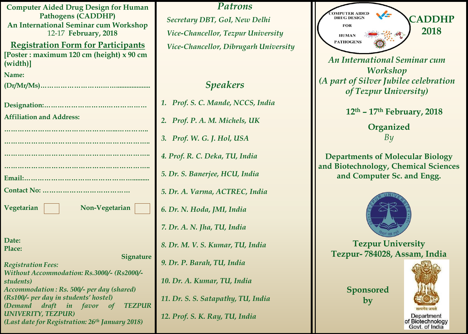| <b>Computer Aided Drug Design for Human</b>                                        |
|------------------------------------------------------------------------------------|
| <b>Pathogens (CADDHP)</b><br><b>An International Seminar cum Workshop</b>          |
| 12-17 February, 2018                                                               |
| <b>Registration Form for Participants</b>                                          |
| [Poster : maximum 120 cm (height) x 90 cm                                          |
| (width)]                                                                           |
| Name:                                                                              |
|                                                                                    |
|                                                                                    |
|                                                                                    |
| <b>Affiliation and Address:</b>                                                    |
|                                                                                    |
|                                                                                    |
|                                                                                    |
| .                                                                                  |
|                                                                                    |
|                                                                                    |
|                                                                                    |
| Non-Vegetarian<br>Vegetarian                                                       |
|                                                                                    |
|                                                                                    |
| Date:                                                                              |
| Place:<br><b>Signature</b>                                                         |
| <b>Registration Fees:</b>                                                          |
| Without Accommodation: Rs.3000/- (Rs2000/-                                         |
| students)                                                                          |
| Accommodation: Rs. 500/- per day (shared)<br>(Rs100/- per day in students' hostel) |
| draft in favor of TEZPUR<br>(Demand                                                |
| <b>UNIVERITY, TEZPUR)</b>                                                          |
| (Last date for Registration: 26 <sup>th</sup> January 2018)                        |

*Patrons Secretary DBT, GoI, New Delhi Vice-Chancellor, Tezpur University Vice-Chancellor, Dibrugarh University* 

# *Speakers*

*1. Prof. S. C. Mande, NCCS, India 2. Prof. P. A. M. Michels, UK 3. Prof. W. G. J. Hol, USA 4. Prof. R. C. Deka, TU, India 5. Dr. S. Banerjee, HCU, India 5. Dr. A. Varma, ACTREC, India 6. Dr. N. Hoda, JMI, India 7. Dr. A. N. Jha, TU, India 8. Dr. M. V. S. Kumar, TU, India 9. Dr. P. Barah, TU, India 10. Dr. A. Kumar, TU, India 11. Dr. S. S. Satapathy, TU, India 12. Prof. S. K. Ray, TU, India*



*Workshop (A part of Silver Jubilee celebration of Tezpur University)*

 **12th – 17th February, 2018**

**Organized**  *By*

**Departments of Molecular Biology and Biotechnology, Chemical Sciences and Computer Sc. and Engg.**



**Tezpur University Tezpur- 784028, Assam, India**

> **Sponsored by**



of Biotechnology Govt. of India